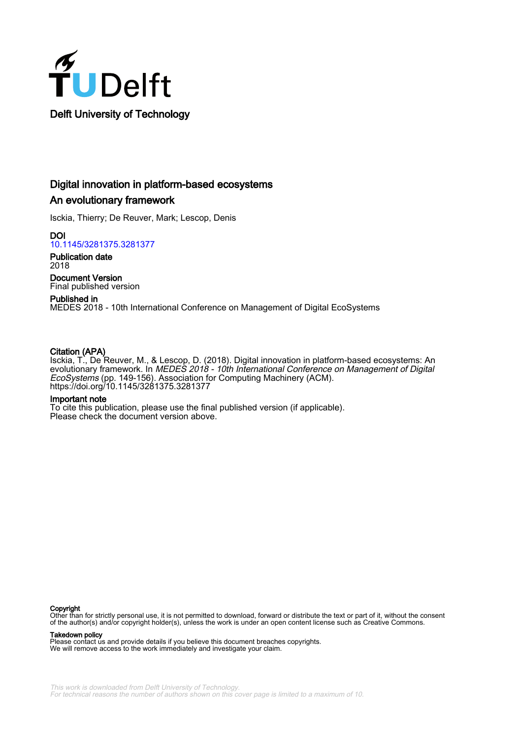

## Digital innovation in platform-based ecosystems An evolutionary framework

Isckia, Thierry; De Reuver, Mark; Lescop, Denis

DOI [10.1145/3281375.3281377](https://doi.org/10.1145/3281375.3281377)

Publication date 2018

Document Version Final published version

Published in MEDES 2018 - 10th International Conference on Management of Digital EcoSystems

## Citation (APA)

Isckia, T., De Reuver, M., & Lescop, D. (2018). Digital innovation in platform-based ecosystems: An evolutionary framework. In MEDES 2018 - 10th International Conference on Management of Digital EcoSystems (pp. 149-156). Association for Computing Machinery (ACM). <https://doi.org/10.1145/3281375.3281377>

### Important note

To cite this publication, please use the final published version (if applicable). Please check the document version above.

#### **Copyright**

Other than for strictly personal use, it is not permitted to download, forward or distribute the text or part of it, without the consent of the author(s) and/or copyright holder(s), unless the work is under an open content license such as Creative Commons.

#### Takedown policy

Please contact us and provide details if you believe this document breaches copyrights. We will remove access to the work immediately and investigate your claim.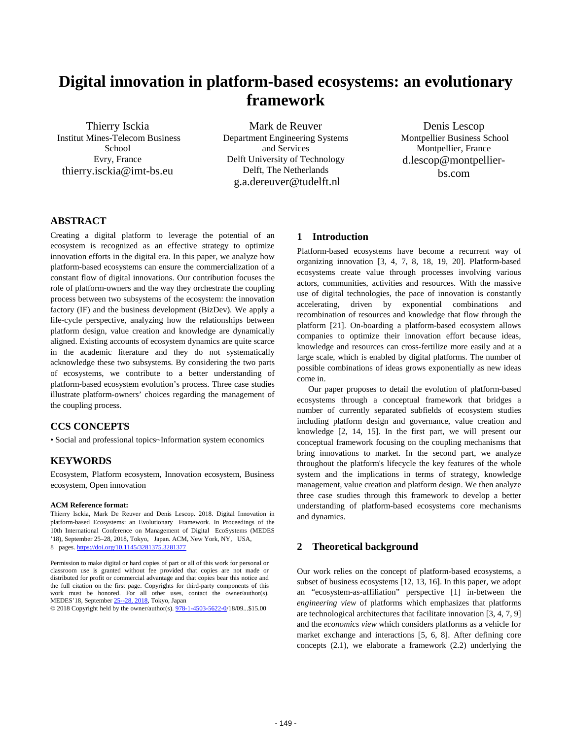# **Digital innovation in platform-based ecosystems: an evolutionary framework**

Thierry Isckia Institut Mines-Telecom Business School Evry, France thierry.isckia@imt-bs.eu

Mark de Reuver Department Engineering Systems and Services Delft University of Technology Delft, The Netherlands [g.a.dereuver@tudelft.nl](mailto:email@email.com)

Denis Lescop Montpellier Business School Montpellier, France d.lescop@montpellierbs.com

## **ABSTRACT**

Creating a digital platform to leverage the potential of an ecosystem is recognized as an effective strategy to optimize innovation efforts in the digital era. In this paper, we analyze how platform-based ecosystems can ensure the commercialization of a constant flow of digital innovations. Our contribution focuses the role of platform-owners and the way they orchestrate the coupling process between two subsystems of the ecosystem: the innovation factory (IF) and the business development (BizDev). We apply a life-cycle perspective, analyzing how the relationships between platform design, value creation and knowledge are dynamically aligned. Existing accounts of ecosystem dynamics are quite scarce in the academic literature and they do not systematically acknowledge these two subsystems. By considering the two parts of ecosystems, we contribute to a better understanding of platform-based ecosystem evolution's process. Three case studies illustrate platform-owners' choices regarding the management of the coupling process.

## **CCS CONCEPTS**

• Social and professional topics~Information system economics

## **KEYWORDS**

Ecosystem, Platform ecosystem, Innovation ecosystem, Business ecosystem, Open innovation

#### **ACM Reference format:**

Thierry Isckia, Mark De Reuver and Denis Lescop. 2018. Digital Innovation in platform-based Ecosystems: an Evolutionary Framework. In Proceedings of the 10th International Conference on Management of Digital EcoSystems (MEDES '18), September 25–28, 2018, Tokyo, Japan. ACM, New York, NY, USA, 8 pages[. https://doi.org/10.1145/3281375.3281377](https://doi.org/10.1145/3281375.3281377)

Permission to make digital or hard copies of part or all of this work for personal or classroom use is granted without fee provided that copies are not made or distributed for profit or commercial advantage and that copies bear this notice and the full citation on the first page. Copyrights for third-party components of this work must be honored. For all other uses, contact the owner/author(s). MEDES'18, Septembe[r 25--28, 2018,](callto:25--28,%202018) Tokyo, Japan

© 2018 Copyright held by the owner/author(s)[. 978-1-4503-5622-0/1](callto:978-1-4503-5622-0)8/09...\$15.00

## **1 Introduction**

Platform-based ecosystems have become a recurrent way of organizing innovation [3, 4, 7, 8, 18, 19, 20]. Platform-based ecosystems create value through processes involving various actors, communities, activities and resources. With the massive use of digital technologies, the pace of innovation is constantly accelerating, driven by exponential combinations and recombination of resources and knowledge that flow through the platform [21]. On-boarding a platform-based ecosystem allows companies to optimize their innovation effort because ideas, knowledge and resources can cross-fertilize more easily and at a large scale, which is enabled by digital platforms. The number of possible combinations of ideas grows exponentially as new ideas come in.

Our paper proposes to detail the evolution of platform-based ecosystems through a conceptual framework that bridges a number of currently separated subfields of ecosystem studies including platform design and governance, value creation and knowledge [2, 14, 15]. In the first part, we will present our conceptual framework focusing on the coupling mechanisms that bring innovations to market. In the second part, we analyze throughout the platform's lifecycle the key features of the whole system and the implications in terms of strategy, knowledge management, value creation and platform design. We then analyze three case studies through this framework to develop a better understanding of platform-based ecosystems core mechanisms and dynamics.

## **2 Theoretical background**

Our work relies on the concept of platform-based ecosystems, a subset of business ecosystems [12, 13, 16]. In this paper, we adopt an "ecosystem-as-affiliation" perspective [1] in-between the *engineering view* of platforms which emphasizes that platforms are technological architectures that facilitate innovation [3, 4, 7, 9] and the *economics view* which considers platforms as a vehicle for market exchange and interactions [5, 6, 8]. After defining core concepts (2.1), we elaborate a framework (2.2) underlying the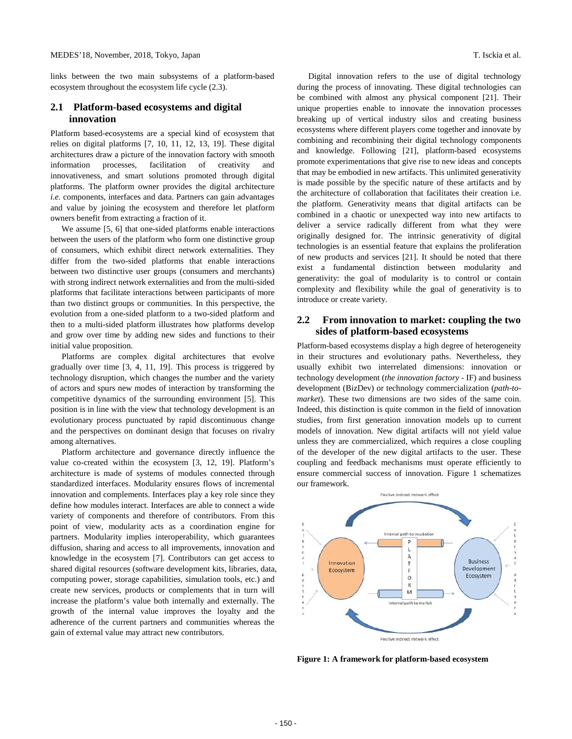links between the two main subsystems of a platform-based ecosystem throughout the ecosystem life cycle (2.3).

## **2.1 Platform-based ecosystems and digital innovation**

Platform based-ecosystems are a special kind of ecosystem that relies on digital platforms [7, 10, 11, 12, 13, 19]. These digital architectures draw a picture of the innovation factory with smooth information processes, facilitation of creativity and innovativeness, and smart solutions promoted through digital platforms. The platform owner provides the digital architecture *i.e.* components, interfaces and data. Partners can gain advantages and value by joining the ecosystem and therefore let platform owners benefit from extracting a fraction of it.

We assume [5, 6] that one-sided platforms enable interactions between the users of the platform who form one distinctive group of consumers, which exhibit direct network externalities. They differ from the two-sided platforms that enable interactions between two distinctive user groups (consumers and merchants) with strong indirect network externalities and from the multi-sided platforms that facilitate interactions between participants of more than two distinct groups or communities. In this perspective, the evolution from a one-sided platform to a two-sided platform and then to a multi-sided platform illustrates how platforms develop and grow over time by adding new sides and functions to their initial value proposition.

Platforms are complex digital architectures that evolve gradually over time [3, 4, 11, 19]. This process is triggered by technology disruption, which changes the number and the variety of actors and spurs new modes of interaction by transforming the competitive dynamics of the surrounding environment [5]. This position is in line with the view that technology development is an evolutionary process punctuated by rapid discontinuous change and the perspectives on dominant design that focuses on rivalry among alternatives.

Platform architecture and governance directly influence the value co-created within the ecosystem [3, 12, 19]. Platform's architecture is made of systems of modules connected through standardized interfaces. Modularity ensures flows of incremental innovation and complements. Interfaces play a key role since they define how modules interact. Interfaces are able to connect a wide variety of components and therefore of contributors. From this point of view, modularity acts as a coordination engine for partners. Modularity implies interoperability, which guarantees diffusion, sharing and access to all improvements, innovation and knowledge in the ecosystem [7]. Contributors can get access to shared digital resources (software development kits, libraries, data, computing power, storage capabilities, simulation tools, etc.) and create new services, products or complements that in turn will increase the platform's value both internally and externally. The growth of the internal value improves the loyalty and the adherence of the current partners and communities whereas the gain of external value may attract new contributors.

Digital innovation refers to the use of digital technology during the process of innovating. These digital technologies can be combined with almost any physical component [21]. Their unique properties enable to innovate the innovation processes breaking up of vertical industry silos and creating business ecosystems where different players come together and innovate by combining and recombining their digital technology components and knowledge. Following [21], platform-based ecosystems promote experimentations that give rise to new ideas and concepts that may be embodied in new artifacts. This unlimited generativity is made possible by the specific nature of these artifacts and by the architecture of collaboration that facilitates their creation i.e. the platform. Generativity means that digital artifacts can be combined in a chaotic or unexpected way into new artifacts to deliver a service radically different from what they were originally designed for. The intrinsic generativity of digital technologies is an essential feature that explains the proliferation of new products and services [21]. It should be noted that there exist a fundamental distinction between modularity and generativity: the goal of modularity is to control or contain complexity and flexibility while the goal of generativity is to introduce or create variety.

## **2.2 From innovation to market: coupling the two sides of platform-based ecosystems**

Platform-based ecosystems display a high degree of heterogeneity in their structures and evolutionary paths. Nevertheless, they usually exhibit two interrelated dimensions: innovation or technology development (*the innovation factory* - IF) and business development (BizDev) or technology commercialization (*path-tomarket*). These two dimensions are two sides of the same coin. Indeed, this distinction is quite common in the field of innovation studies, from first generation innovation models up to current models of innovation. New digital artifacts will not yield value unless they are commercialized, which requires a close coupling of the developer of the new digital artifacts to the user. These coupling and feedback mechanisms must operate efficiently to ensure commercial success of innovation. Figure 1 schematizes our framework.



**Figure 1: A framework for platform-based ecosystem**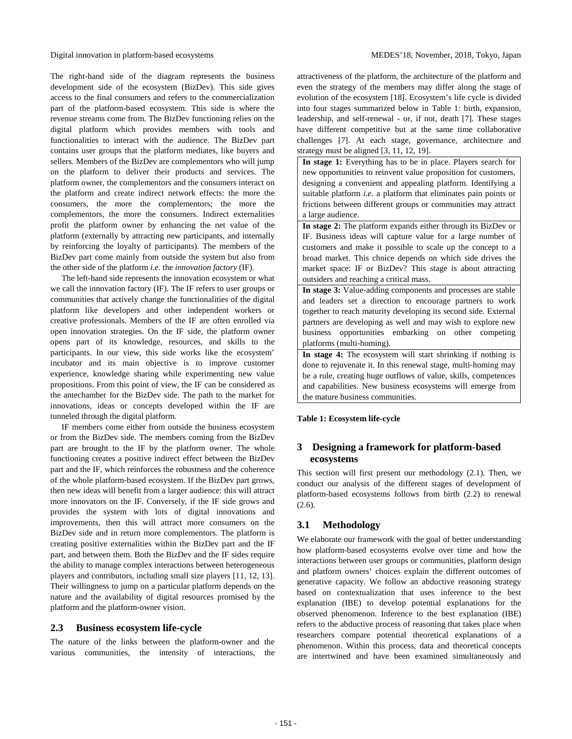#### Digital innovation in platform-based ecosystems MEDES'18, November, 2018, Tokyo, Japan

The right-hand side of the diagram represents the business development side of the ecosystem (BizDev). This side gives access to the final consumers and refers to the commercialization part of the platform-based ecosystem. This side is where the revenue streams come from. The BizDev functioning relies on the digital platform which provides members with tools and functionalities to interact with the audience. The BizDev part contains user groups that the platform mediates, like buyers and sellers. Members of the BizDev are complementors who will jump on the platform to deliver their products and services. The platform owner, the complementors and the consumers interact on the platform and create indirect network effects: the more the consumers, the more the complementors; the more the complementors, the more the consumers. Indirect externalities profit the platform owner by enhancing the net value of the platform (externally by attracting new participants, and internally by reinforcing the loyalty of participants). The members of the BizDev part come mainly from outside the system but also from the other side of the platform *i.e.* the *innovation factory* (IF).

The left-hand side represents the innovation ecosystem or what we call the innovation factory (IF). The IF refers to user groups or communities that actively change the functionalities of the digital platform like developers and other independent workers or creative professionals. Members of the IF are often enrolled via open innovation strategies. On the IF side, the platform owner opens part of its knowledge, resources, and skills to the participants. In our view, this side works like the ecosystem' incubator and its main objective is to improve customer experience, knowledge sharing while experimenting new value propositions. From this point of view, the IF can be considered as the antechamber for the BizDev side. The path to the market for innovations, ideas or concepts developed within the IF are tunneled through the digital platform.

IF members come either from outside the business ecosystem or from the BizDev side. The members coming from the BizDev part are brought to the IF by the platform owner. The whole functioning creates a positive indirect effect between the BizDev part and the IF, which reinforces the robustness and the coherence of the whole platform-based ecosystem. If the BizDev part grows, then new ideas will benefit from a larger audience: this will attract more innovators on the IF. Conversely, if the IF side grows and provides the system with lots of digital innovations and improvements, then this will attract more consumers on the BizDev side and in return more complementors. The platform is creating positive externalities within the BizDev part and the IF part, and between them. Both the BizDev and the IF sides require the ability to manage complex interactions between heterogeneous players and contributors, including small size players [11, 12, 13]. Their willingness to jump on a particular platform depends on the nature and the availability of digital resources promised by the platform and the platform-owner vision.

#### **2.3 Business ecosystem life-cycle**

The nature of the links between the platform-owner and the various communities, the intensity of interactions, the

attractiveness of the platform, the architecture of the platform and even the strategy of the members may differ along the stage of evolution of the ecosystem [18]. Ecosystem's life cycle is divided into four stages summarized below in Table 1: birth, expansion, leadership, and self-renewal - or, if not, death [7]. These stages have different competitive but at the same time collaborative challenges [7]. At each stage, governance, architecture and strategy must be aligned [3, 11, 12, 19].

In stage 1: Everything has to be in place. Players search for new opportunities to reinvent value proposition for customers, designing a convenient and appealing platform. Identifying a suitable platform *i.e.* a platform that eliminates pain points or frictions between different groups or communities may attract a large audience.

**In stage 2:** The platform expands either through its BizDev or IF. Business ideas will capture value for a large number of customers and make it possible to scale up the concept to a broad market. This choice depends on which side drives the market space: IF or BizDev? This stage is about attracting outsiders and reaching a critical mass.

**In stage 3:** Value-adding components and processes are stable and leaders set a direction to encourage partners to work together to reach maturity developing its second side. External partners are developing as well and may wish to explore new business opportunities embarking on other competing platforms (multi-homing).

**In stage 4:** The ecosystem will start shrinking if nothing is done to rejuvenate it. In this renewal stage, multi-homing may be a rule, creating huge outflows of value, skills, competences and capabilities. New business ecosystems will emerge from the mature business communities.

#### **Table 1: Ecosystem life-cycle**

## **3 Designing a framework for platform-based ecosystems**

This section will first present our methodology (2.1). Then, we conduct our analysis of the different stages of development of platform-based ecosystems follows from birth (2.2) to renewal (2.6).

#### **3.1 Methodology**

We elaborate our framework with the goal of better understanding how platform-based ecosystems evolve over time and how the interactions between user groups or communities, platform design and platform owners' choices explain the different outcomes of generative capacity. We follow an abductive reasoning strategy based on contextualization that uses inference to the best explanation (IBE) to develop potential explanations for the observed phenomenon. Inference to the best explanation (IBE) refers to the abductive process of reasoning that takes place when researchers compare potential theoretical explanations of a phenomenon. Within this process, data and theoretical concepts are intertwined and have been examined simultaneously and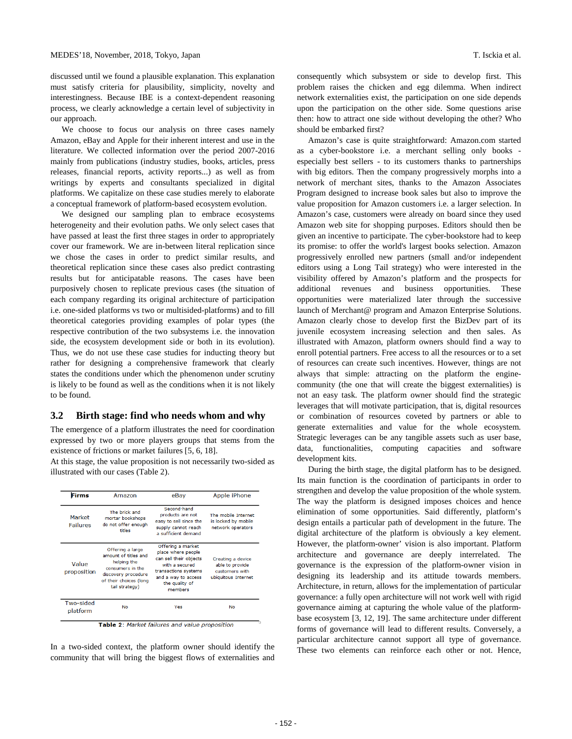discussed until we found a plausible explanation. This explanation must satisfy criteria for plausibility, simplicity, novelty and interestingness. Because IBE is a context-dependent reasoning process, we clearly acknowledge a certain level of subjectivity in our approach.

We choose to focus our analysis on three cases namely Amazon, eBay and Apple for their inherent interest and use in the literature. We collected information over the period 2007-2016 mainly from publications (industry studies, books, articles, press releases, financial reports, activity reports...) as well as from writings by experts and consultants specialized in digital platforms. We capitalize on these case studies merely to elaborate a conceptual framework of platform-based ecosystem evolution.

We designed our sampling plan to embrace ecosystems heterogeneity and their evolution paths. We only select cases that have passed at least the first three stages in order to appropriately cover our framework. We are in-between literal replication since we chose the cases in order to predict similar results, and theoretical replication since these cases also predict contrasting results but for anticipatable reasons. The cases have been purposively chosen to replicate previous cases (the situation of each company regarding its original architecture of participation i.e. one-sided platforms vs two or multisided-platforms) and to fill theoretical categories providing examples of polar types (the respective contribution of the two subsystems i.e. the innovation side, the ecosystem development side or both in its evolution). Thus, we do not use these case studies for inducting theory but rather for designing a comprehensive framework that clearly states the conditions under which the phenomenon under scrutiny is likely to be found as well as the conditions when it is not likely to be found.

#### **3.2 Birth stage: find who needs whom and why**

The emergence of a platform illustrates the need for coordination expressed by two or more players groups that stems from the existence of frictions or market failures [5, 6, 18].

At this stage, the value proposition is not necessarily two-sided as illustrated with our cases (Table 2).

| <b>Firms</b>              | Amazon                                                                                                                                         | eBav                                                                                                                                                            | Apple iPhone                                                                  |
|---------------------------|------------------------------------------------------------------------------------------------------------------------------------------------|-----------------------------------------------------------------------------------------------------------------------------------------------------------------|-------------------------------------------------------------------------------|
| Market<br><b>Failures</b> | The brick and<br>mortar bookshops<br>do not offer enough<br>titles                                                                             | Second-hand<br>products are not<br>easy to sell since the<br>supply cannot reach<br>a sufficient demand                                                         | The mobile Internet<br>is locked by mobile<br>network operators               |
| Value<br>proposition      | Offering a large<br>amount of titles and<br>helping the<br>consumers in the<br>discovery procedure<br>of their choices (long<br>tail strategy) | Offering a market<br>place where people<br>can sell their objects<br>with a secured<br>transactions systems<br>and a way to access<br>the quality of<br>members | Creating a device<br>able to provide<br>customers with<br>ubiquitous Internet |
| Two-sided<br>platform     | <b>No</b>                                                                                                                                      | Yes                                                                                                                                                             | <b>No</b>                                                                     |

Table 2: Market failures and value proposition

In a two-sided context, the platform owner should identify the community that will bring the biggest flows of externalities and consequently which subsystem or side to develop first. This problem raises the chicken and egg dilemma. When indirect network externalities exist, the participation on one side depends upon the participation on the other side. Some questions arise then: how to attract one side without developing the other? Who should be embarked first?

Amazon's case is quite straightforward: Amazon.com started as a cyber-bookstore i.e. a merchant selling only books especially best sellers - to its customers thanks to partnerships with big editors. Then the company progressively morphs into a network of merchant sites, thanks to the Amazon Associates Program designed to increase book sales but also to improve the value proposition for Amazon customers i.e. a larger selection. In Amazon's case, customers were already on board since they used Amazon web site for shopping purposes. Editors should then be given an incentive to participate. The cyber-bookstore had to keep its promise: to offer the world's largest books selection. Amazon progressively enrolled new partners (small and/or independent editors using a Long Tail strategy) who were interested in the visibility offered by Amazon's platform and the prospects for additional revenues and business opportunities. These opportunities were materialized later through the successive launch of Merchant@ program and Amazon Enterprise Solutions. Amazon clearly chose to develop first the BizDev part of its juvenile ecosystem increasing selection and then sales. As illustrated with Amazon, platform owners should find a way to enroll potential partners. Free access to all the resources or to a set of resources can create such incentives. However, things are not always that simple: attracting on the platform the enginecommunity (the one that will create the biggest externalities) is not an easy task. The platform owner should find the strategic leverages that will motivate participation, that is, digital resources or combination of resources coveted by partners or able to generate externalities and value for the whole ecosystem. Strategic leverages can be any tangible assets such as user base, data, functionalities, computing capacities and software development kits.

During the birth stage, the digital platform has to be designed. Its main function is the coordination of participants in order to strengthen and develop the value proposition of the whole system. The way the platform is designed imposes choices and hence elimination of some opportunities. Said differently, platform's design entails a particular path of development in the future. The digital architecture of the platform is obviously a key element. However, the platform-owner' vision is also important. Platform architecture and governance are deeply interrelated. The governance is the expression of the platform-owner vision in designing its leadership and its attitude towards members. Architecture, in return, allows for the implementation of particular governance: a fully open architecture will not work well with rigid governance aiming at capturing the whole value of the platformbase ecosystem [3, 12, 19]. The same architecture under different forms of governance will lead to different results. Conversely, a particular architecture cannot support all type of governance. These two elements can reinforce each other or not. Hence,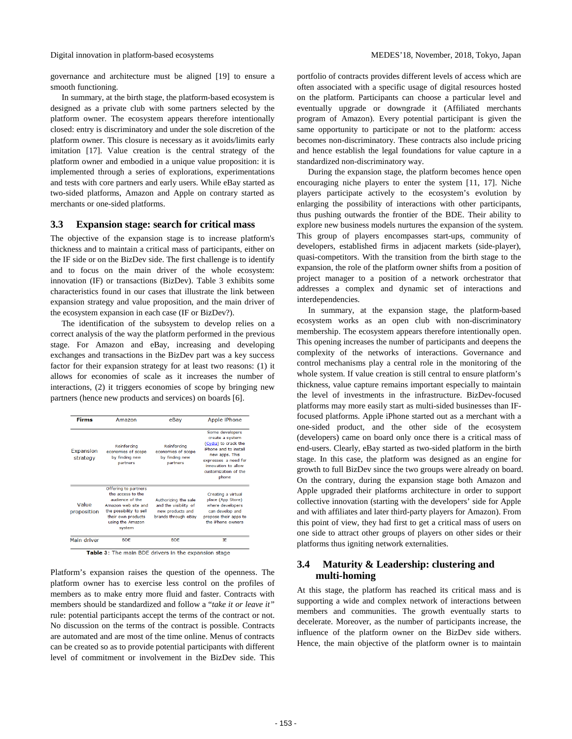Digital innovation in platform-based ecosystems MEDES'18, November, 2018, Tokyo, Japan

governance and architecture must be aligned [19] to ensure a smooth functioning.

In summary, at the birth stage, the platform-based ecosystem is designed as a private club with some partners selected by the platform owner. The ecosystem appears therefore intentionally closed: entry is discriminatory and under the sole discretion of the platform owner. This closure is necessary as it avoids/limits early imitation [17]. Value creation is the central strategy of the platform owner and embodied in a unique value proposition: it is implemented through a series of explorations, experimentations and tests with core partners and early users. While eBay started as two-sided platforms, Amazon and Apple on contrary started as merchants or one-sided platforms.

#### **3.3 Expansion stage: search for critical mass**

The objective of the expansion stage is to increase platform's thickness and to maintain a critical mass of participants, either on the IF side or on the BizDev side. The first challenge is to identify and to focus on the main driver of the whole ecosystem: innovation (IF) or transactions (BizDev). Table 3 exhibits some characteristics found in our cases that illustrate the link between expansion strategy and value proposition, and the main driver of the ecosystem expansion in each case (IF or BizDev?).

The identification of the subsystem to develop relies on a correct analysis of the way the platform performed in the previous stage. For Amazon and eBay, increasing and developing exchanges and transactions in the BizDev part was a key success factor for their expansion strategy for at least two reasons: (1) it allows for economies of scale as it increases the number of interactions, (2) it triggers economies of scope by bringing new partners (hence new products and services) on boards [6].

| Firms                 | Amazon                                                                                                                                                             | eBay                                                                                     | Apple iPhone                                                                                                                                                                          |
|-----------------------|--------------------------------------------------------------------------------------------------------------------------------------------------------------------|------------------------------------------------------------------------------------------|---------------------------------------------------------------------------------------------------------------------------------------------------------------------------------------|
| Expansion<br>strategy | Reinforcing<br>economies of scope<br>by finding new<br>partners                                                                                                    | Reinforcing<br>economies of scope<br>by finding new<br>partners                          | Some developers<br>create a system<br>(Cydia) to crack the<br>iPhone and to install<br>new apps. This<br>expresses a need for<br>innovation to allow<br>customization of the<br>phone |
| Value<br>proposition  | Offering to partners<br>the access to the<br>audience of the<br>Amazon web site and<br>the possibility to sell<br>their own products<br>using the Amazon<br>system | Authorizing the sale<br>and the visibility of<br>new products and<br>brands through eBay | Creating a virtual<br>place (App Store)<br>where developers<br>can develop and<br>propose their apps to<br>the iPhone owners                                                          |
| Main driver           | <b>BDF</b>                                                                                                                                                         | <b>BDF</b>                                                                               | ΙE                                                                                                                                                                                    |

Table 3: The main BDF drivers in the expansion stage

Platform's expansion raises the question of the openness. The platform owner has to exercise less control on the profiles of members as to make entry more fluid and faster. Contracts with members should be standardized and follow a "*take it or leave it"* rule: potential participants accept the terms of the contract or not. No discussion on the terms of the contract is possible. Contracts are automated and are most of the time online. Menus of contracts can be created so as to provide potential participants with different level of commitment or involvement in the BizDev side. This

portfolio of contracts provides different levels of access which are often associated with a specific usage of digital resources hosted on the platform. Participants can choose a particular level and eventually upgrade or downgrade it (Affiliated merchants program of Amazon). Every potential participant is given the same opportunity to participate or not to the platform: access becomes non-discriminatory. These contracts also include pricing and hence establish the legal foundations for value capture in a standardized non-discriminatory way.

During the expansion stage, the platform becomes hence open encouraging niche players to enter the system [11, 17]. Niche players participate actively to the ecosystem's evolution by enlarging the possibility of interactions with other participants, thus pushing outwards the frontier of the BDE. Their ability to explore new business models nurtures the expansion of the system. This group of players encompasses start-ups, community of developers, established firms in adjacent markets (side-player), quasi-competitors. With the transition from the birth stage to the expansion, the role of the platform owner shifts from a position of project manager to a position of a network orchestrator that addresses a complex and dynamic set of interactions and interdependencies.

In summary, at the expansion stage, the platform-based ecosystem works as an open club with non-discriminatory membership. The ecosystem appears therefore intentionally open. This opening increases the number of participants and deepens the complexity of the networks of interactions. Governance and control mechanisms play a central role in the monitoring of the whole system. If value creation is still central to ensure platform's thickness, value capture remains important especially to maintain the level of investments in the infrastructure. BizDev-focused platforms may more easily start as multi-sided businesses than IFfocused platforms. Apple iPhone started out as a merchant with a one-sided product, and the other side of the ecosystem (developers) came on board only once there is a critical mass of end-users. Clearly, eBay started as two-sided platform in the birth stage. In this case, the platform was designed as an engine for growth to full BizDev since the two groups were already on board. On the contrary, during the expansion stage both Amazon and Apple upgraded their platforms architecture in order to support collective innovation (starting with the developers' side for Apple and with affiliates and later third-party players for Amazon). From this point of view, they had first to get a critical mass of users on one side to attract other groups of players on other sides or their platforms thus igniting network externalities.

## **3.4 Maturity & Leadership: clustering and multi-homing**

At this stage, the platform has reached its critical mass and is supporting a wide and complex network of interactions between members and communities. The growth eventually starts to decelerate. Moreover, as the number of participants increase, the influence of the platform owner on the BizDev side withers. Hence, the main objective of the platform owner is to maintain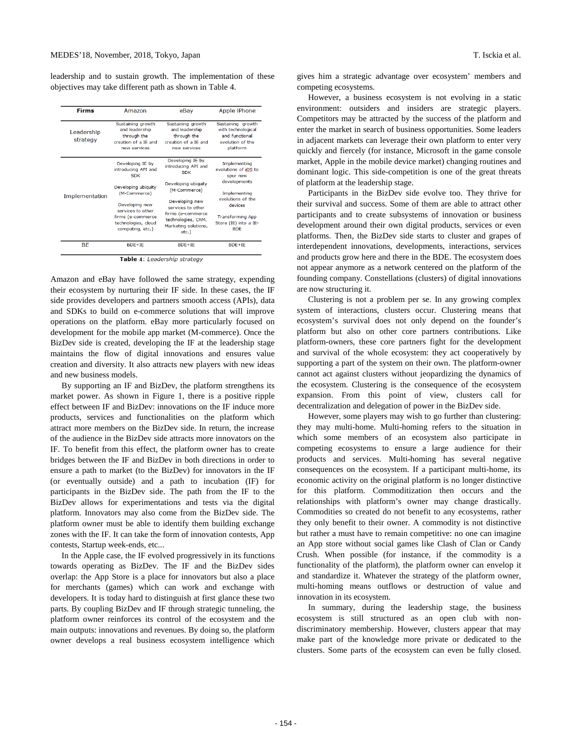leadership and to sustain growth. The implementation of these objectives may take different path as shown in Table 4.

| <b>Firms</b>           | Amazon                                                                                              | eBay                                                                                                               | Apple iPhone                                                                              |
|------------------------|-----------------------------------------------------------------------------------------------------|--------------------------------------------------------------------------------------------------------------------|-------------------------------------------------------------------------------------------|
| Leadership<br>strategy | Sustaining growth<br>and leadership<br>through the<br>creation of a IF and<br>new services          | Sustaining growth<br>and leadership<br>through the<br>creation of a IE and<br>new services                         | Sustaining growth<br>with technological<br>and functional<br>evolution of the<br>platform |
|                        | Developing IE by<br>introducing API and<br><b>SDK</b>                                               | Developing IE by<br>introducing API and<br><b>SDK</b>                                                              | Implementing<br>evolutions of jOS to<br>spur new<br>developments                          |
| Implementation         | Developing ubiquity<br>(M-Commerce)                                                                 | Developing ubiquity<br>(M-Commerce)                                                                                | Implementing<br>evolutions of the<br>devices                                              |
|                        | Developing new<br>services to other<br>firms (e-commerce<br>technologies, cloud<br>computing, etc.) | Developing new<br>services to other<br>firms (e-commerce<br>technologies, CRM,<br>Marketing solutions,<br>$etc.$ ) |                                                                                           |
|                        |                                                                                                     |                                                                                                                    | <b>Transforming App</b><br>Store (IE) into a IE-<br><b>BDF</b>                            |
| BE                     | $BDE + IE$                                                                                          | $BDE + IE$                                                                                                         | $BDE + IE$                                                                                |

Table 4: Leadership strategy

Amazon and eBay have followed the same strategy, expending their ecosystem by nurturing their IF side. In these cases, the IF side provides developers and partners smooth access (APIs), data and SDKs to build on e-commerce solutions that will improve operations on the platform. eBay more particularly focused on development for the mobile app market (M-commerce). Once the BizDev side is created, developing the IF at the leadership stage maintains the flow of digital innovations and ensures value creation and diversity. It also attracts new players with new ideas and new business models.

By supporting an IF and BizDev, the platform strengthens its market power. As shown in Figure 1, there is a positive ripple effect between IF and BizDev: innovations on the IF induce more products, services and functionalities on the platform which attract more members on the BizDev side. In return, the increase of the audience in the BizDev side attracts more innovators on the IF. To benefit from this effect, the platform owner has to create bridges between the IF and BizDev in both directions in order to ensure a path to market (to the BizDev) for innovators in the IF (or eventually outside) and a path to incubation (IF) for participants in the BizDev side. The path from the IF to the BizDev allows for experimentations and tests via the digital platform. Innovators may also come from the BizDev side. The platform owner must be able to identify them building exchange zones with the IF. It can take the form of innovation contests, App contests, Startup week-ends, etc...

In the Apple case, the IF evolved progressively in its functions towards operating as BizDev. The IF and the BizDev sides overlap: the App Store is a place for innovators but also a place for merchants (games) which can work and exchange with developers. It is today hard to distinguish at first glance these two parts. By coupling BizDev and IF through strategic tunneling, the platform owner reinforces its control of the ecosystem and the main outputs: innovations and revenues. By doing so, the platform owner develops a real business ecosystem intelligence which

gives him a strategic advantage over ecosystem' members and competing ecosystems.

However, a business ecosystem is not evolving in a static environment: outsiders and insiders are strategic players. Competitors may be attracted by the success of the platform and enter the market in search of business opportunities. Some leaders in adjacent markets can leverage their own platform to enter very quickly and fiercely (for instance, Microsoft in the game console market, Apple in the mobile device market) changing routines and dominant logic. This side-competition is one of the great threats of platform at the leadership stage.

Participants in the BizDev side evolve too. They thrive for their survival and success. Some of them are able to attract other participants and to create subsystems of innovation or business development around their own digital products, services or even platforms. Then, the BizDev side starts to cluster and grapes of interdependent innovations, developments, interactions, services and products grow here and there in the BDE. The ecosystem does not appear anymore as a network centered on the platform of the founding company. Constellations (clusters) of digital innovations are now structuring it.

Clustering is not a problem per se. In any growing complex system of interactions, clusters occur. Clustering means that ecosystem's survival does not only depend on the founder's platform but also on other core partners contributions. Like platform-owners, these core partners fight for the development and survival of the whole ecosystem: they act cooperatively by supporting a part of the system on their own. The platform-owner cannot act against clusters without jeopardizing the dynamics of the ecosystem. Clustering is the consequence of the ecosystem expansion. From this point of view, clusters call for decentralization and delegation of power in the BizDev side.

However, some players may wish to go further than clustering: they may multi-home. Multi-homing refers to the situation in which some members of an ecosystem also participate in competing ecosystems to ensure a large audience for their products and services. Multi-homing has several negative consequences on the ecosystem. If a participant multi-home, its economic activity on the original platform is no longer distinctive for this platform. Commoditization then occurs and the relationships with platform's owner may change drastically. Commodities so created do not benefit to any ecosystems, rather they only benefit to their owner. A commodity is not distinctive but rather a must have to remain competitive: no one can imagine an App store without social games like Clash of Clan or Candy Crush. When possible (for instance, if the commodity is a functionality of the platform), the platform owner can envelop it and standardize it. Whatever the strategy of the platform owner, multi-homing means outflows or destruction of value and innovation in its ecosystem.

In summary, during the leadership stage, the business ecosystem is still structured as an open club with nondiscriminatory membership. However, clusters appear that may make part of the knowledge more private or dedicated to the clusters. Some parts of the ecosystem can even be fully closed.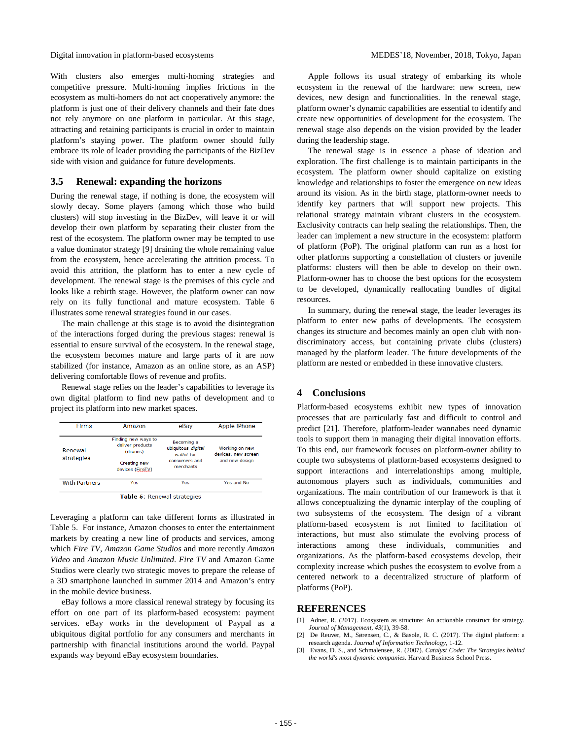#### Digital innovation in platform-based ecosystems MEDES'18, November, 2018, Tokyo, Japan

With clusters also emerges multi-homing strategies and competitive pressure. Multi-homing implies frictions in the ecosystem as multi-homers do not act cooperatively anymore: the platform is just one of their delivery channels and their fate does not rely anymore on one platform in particular. At this stage, attracting and retaining participants is crucial in order to maintain platform's staying power. The platform owner should fully embrace its role of leader providing the participants of the BizDev side with vision and guidance for future developments.

#### **3.5 Renewal: expanding the horizons**

During the renewal stage, if nothing is done, the ecosystem will slowly decay. Some players (among which those who build clusters) will stop investing in the BizDev, will leave it or will develop their own platform by separating their cluster from the rest of the ecosystem. The platform owner may be tempted to use a value dominator strategy [9] draining the whole remaining value from the ecosystem, hence accelerating the attrition process. To avoid this attrition, the platform has to enter a new cycle of development. The renewal stage is the premises of this cycle and looks like a rebirth stage. However, the platform owner can now rely on its fully functional and mature ecosystem. Table 6 illustrates some renewal strategies found in our cases.

The main challenge at this stage is to avoid the disintegration of the interactions forged during the previous stages: renewal is essential to ensure survival of the ecosystem. In the renewal stage, the ecosystem becomes mature and large parts of it are now stabilized (for instance, Amazon as an online store, as an ASP) delivering comfortable flows of revenue and profits.

Renewal stage relies on the leader's capabilities to leverage its own digital platform to find new paths of development and to project its platform into new market spaces.

| <b>Firms</b>                | Amazon                                                              | eBay                                                                         | Apple iPhone                                            |  |  |
|-----------------------------|---------------------------------------------------------------------|------------------------------------------------------------------------------|---------------------------------------------------------|--|--|
| Renewal<br>strategies       | Finding new ways to<br>deliver products<br>(drones)<br>Creating new | Becoming a<br>ubiquitous digital<br>wallet for<br>consumers and<br>merchants | Working on new<br>devices, new screen<br>and new design |  |  |
| <b>With Partners</b>        | devices (FireTV)<br>Yes                                             | Yes                                                                          | Yes and No                                              |  |  |
| Table 5: Renewal strategies |                                                                     |                                                                              |                                                         |  |  |

Leveraging a platform can take different forms as illustrated in Table 5. For instance, Amazon chooses to enter the entertainment markets by creating a new line of products and services, among which *Fire TV*, *Amazon Game Studios* and more recently *Amazon Video* and *Amazon Music Unlimited*. *Fire TV* and Amazon Game Studios were clearly two strategic moves to prepare the release of

a 3D smartphone launched in summer 2014 and Amazon's entry in the mobile device business. eBay follows a more classical renewal strategy by focusing its effort on one part of its platform-based ecosystem: payment services. eBay works in the development of Paypal as a ubiquitous digital portfolio for any consumers and merchants in

partnership with financial institutions around the world. Paypal

expands way beyond eBay ecosystem boundaries.

Apple follows its usual strategy of embarking its whole ecosystem in the renewal of the hardware: new screen, new devices, new design and functionalities. In the renewal stage, platform owner's dynamic capabilities are essential to identify and create new opportunities of development for the ecosystem. The renewal stage also depends on the vision provided by the leader during the leadership stage.

The renewal stage is in essence a phase of ideation and exploration. The first challenge is to maintain participants in the ecosystem. The platform owner should capitalize on existing knowledge and relationships to foster the emergence on new ideas around its vision. As in the birth stage, platform-owner needs to identify key partners that will support new projects. This relational strategy maintain vibrant clusters in the ecosystem. Exclusivity contracts can help sealing the relationships. Then, the leader can implement a new structure in the ecosystem: platform of platform (PoP). The original platform can run as a host for other platforms supporting a constellation of clusters or juvenile platforms: clusters will then be able to develop on their own. Platform-owner has to choose the best options for the ecosystem to be developed, dynamically reallocating bundles of digital resources.

In summary, during the renewal stage, the leader leverages its platform to enter new paths of developments. The ecosystem changes its structure and becomes mainly an open club with nondiscriminatory access, but containing private clubs (clusters) managed by the platform leader. The future developments of the platform are nested or embedded in these innovative clusters.

## **4 Conclusions**

Platform-based ecosystems exhibit new types of innovation processes that are particularly fast and difficult to control and predict [21]. Therefore, platform-leader wannabes need dynamic tools to support them in managing their digital innovation efforts. To this end, our framework focuses on platform-owner ability to couple two subsystems of platform-based ecosystems designed to support interactions and interrelationships among multiple, autonomous players such as individuals, communities and organizations. The main contribution of our framework is that it allows conceptualizing the dynamic interplay of the coupling of two subsystems of the ecosystem. The design of a vibrant platform-based ecosystem is not limited to facilitation of interactions, but must also stimulate the evolving process of interactions among these individuals, communities and organizations. As the platform-based ecosystems develop, their complexity increase which pushes the ecosystem to evolve from a centered network to a decentralized structure of platform of platforms (PoP).

#### **REFERENCES**

- [1] Adner, R. (2017). Ecosystem as structure: An actionable construct for strategy. *Journal of Management*, *43*(1), 39-58.
- [2] De Reuver, M., Sørensen, C., & Basole, R. C. (2017). The digital platform: a research agenda. *Journal of Information Technology*, 1-12.
- Evans, D. S., and Schmalensee, R. (2007). *Catalyst Code: The Strategies behind the world's most dynamic companies*. Harvard Business School Press. [3]